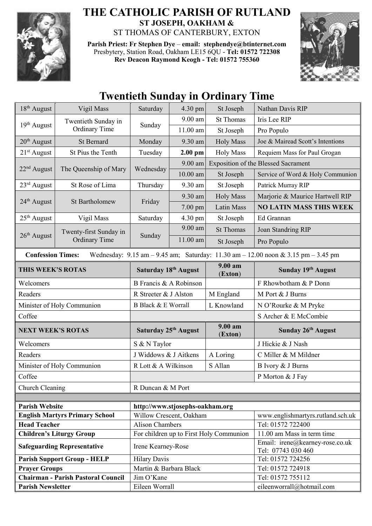

## **THE CATHOLIC PARISH OF RUTLAND ST JOSEPH, OAKHAM &**  ST THOMAS OF CANTERBURY, EXTON

**Parish Priest: Fr Stephen Dye** – **[email: stephendye@btinternet.com](mailto:email:%20%20stephendye@btinternet.com)** Presbytery, Station Road, Oakham LE15 6QU - **Tel: 01572 722308 Rev Deacon Raymond Keogh - Tel: 01572 755360**



|                                           |                                                |                                                   |            | тиснист бинчау нг Огчинагу типс     |                                                                                                                                         |
|-------------------------------------------|------------------------------------------------|---------------------------------------------------|------------|-------------------------------------|-----------------------------------------------------------------------------------------------------------------------------------------|
| 18 <sup>th</sup> August                   | Vigil Mass                                     | Saturday                                          | $4.30$ pm  | St Joseph                           | Nathan Davis RIP                                                                                                                        |
| 19 <sup>th</sup> August                   | Twentieth Sunday in<br><b>Ordinary Time</b>    | Sunday                                            | $9.00$ am  | <b>St Thomas</b>                    | Iris Lee RIP                                                                                                                            |
|                                           |                                                |                                                   | $11.00$ am | St Joseph                           | Pro Populo                                                                                                                              |
| $20th$ August                             | St Bernard                                     | Monday                                            | 9.30 am    | <b>Holy Mass</b>                    | Joe & Mairead Scott's Intentions                                                                                                        |
| $21st$ August                             | St Pius the Tenth                              | Tuesday                                           | $2.00$ pm  | <b>Holy Mass</b>                    | Requiem Mass for Paul Grogan                                                                                                            |
| $22nd$ August                             | The Queenship of Mary                          | Wednesday                                         | $9.00$ am  | Exposition of the Blessed Sacrament |                                                                                                                                         |
|                                           |                                                |                                                   | $10.00$ am | St Joseph                           | Service of Word & Holy Communion                                                                                                        |
| $23rd$ August                             | St Rose of Lima                                | Thursday                                          | 9.30 am    | St Joseph                           | Patrick Murray RIP                                                                                                                      |
| 24 <sup>th</sup> August                   | <b>St Bartholomew</b>                          | Friday                                            | 9.30 am    | <b>Holy Mass</b>                    | Marjorie & Maurice Hartwell RIP                                                                                                         |
|                                           |                                                |                                                   | $7.00$ pm  | <b>Latin Mass</b>                   | <b>NO LATIN MASS THIS WEEK</b>                                                                                                          |
| $25th$ August                             | Vigil Mass                                     | Saturday                                          | 4.30 pm    | St Joseph                           | Ed Grannan                                                                                                                              |
|                                           | Twenty-first Sunday in<br><b>Ordinary Time</b> | Sunday                                            | 9.00 am    | <b>St Thomas</b>                    | Joan Standring RIP                                                                                                                      |
| 26 <sup>th</sup> August                   |                                                |                                                   | $11.00$ am | St Joseph                           | Pro Populo                                                                                                                              |
| <b>Confession Times:</b>                  |                                                |                                                   |            |                                     | Wednesday: $9.15 \text{ am} - 9.45 \text{ am}$ ; Saturday: $11.30 \text{ am} - 12.00 \text{ noon} \& 3.15 \text{ pm} - 3.45 \text{ pm}$ |
| THIS WEEK'S ROTAS                         |                                                | Saturday 18th August                              |            | 9.00 am<br>(Exton)                  | Sunday 19th August                                                                                                                      |
| Welcomers                                 |                                                | B Francis & A Robinson                            |            |                                     | F Rhowbotham & P Donn                                                                                                                   |
| Readers                                   |                                                | R Streeter & J Alston                             |            | M England                           | M Port & J Burns                                                                                                                        |
| Minister of Holy Communion                |                                                | <b>B Black &amp; E Worrall</b>                    |            | L Knowland                          | N O'Rourke & M Pryke                                                                                                                    |
| Coffee                                    |                                                |                                                   |            |                                     | S Archer & E McCombie                                                                                                                   |
| <b>NEXT WEEK'S ROTAS</b>                  |                                                | Saturday 25 <sup>th</sup> August                  |            | 9.00 am<br>(Exton)                  | Sunday 26 <sup>th</sup> August                                                                                                          |
| Welcomers                                 |                                                | S & N Taylor                                      |            |                                     | J Hickie & J Nash                                                                                                                       |
| Readers                                   |                                                | J Widdows & J Aitkens                             |            | A Loring                            | C Miller & M Mildner                                                                                                                    |
| Minister of Holy Communion                |                                                | R Lott & A Wilkinson<br>S Allan                   |            |                                     | B Ivory & J Burns                                                                                                                       |
| Coffee                                    |                                                |                                                   |            |                                     | P Morton & J Fay                                                                                                                        |
| Church Cleaning                           |                                                | R Duncan & M Port                                 |            |                                     |                                                                                                                                         |
|                                           |                                                |                                                   |            |                                     |                                                                                                                                         |
| <b>Parish Website</b>                     |                                                | http://www.stjosephs-oakham.org                   |            |                                     |                                                                                                                                         |
| <b>English Martyrs Primary School</b>     |                                                | Willow Crescent, Oakham<br><b>Alison Chambers</b> |            |                                     | www.englishmartyrs.rutland.sch.uk                                                                                                       |
| <b>Head Teacher</b>                       |                                                |                                                   |            |                                     | Tel: 01572 722400                                                                                                                       |
| <b>Children's Liturgy Group</b>           |                                                | For children up to First Holy Communion           |            |                                     | 11.00 am Mass in term time<br>Email: irene@kearney-rose.co.uk                                                                           |
| <b>Safeguarding Representative</b>        |                                                | Irene Kearney-Rose                                |            |                                     | Tel: 07743 030 460                                                                                                                      |
| <b>Parish Support Group - HELP</b>        |                                                | <b>Hilary Davis</b>                               |            |                                     | Tel: 01572 724256                                                                                                                       |
| <b>Prayer Groups</b>                      |                                                | Martin & Barbara Black                            |            |                                     | Tel: 01572 724918                                                                                                                       |
| <b>Chairman - Parish Pastoral Council</b> |                                                | Jim O'Kane                                        |            |                                     | Tel: 01572 755112                                                                                                                       |
| <b>Parish Newsletter</b>                  |                                                | Eileen Worrall                                    |            |                                     | eileenworrall@hotmail.com                                                                                                               |

## **Twentieth Sunday in Ordinary Time**